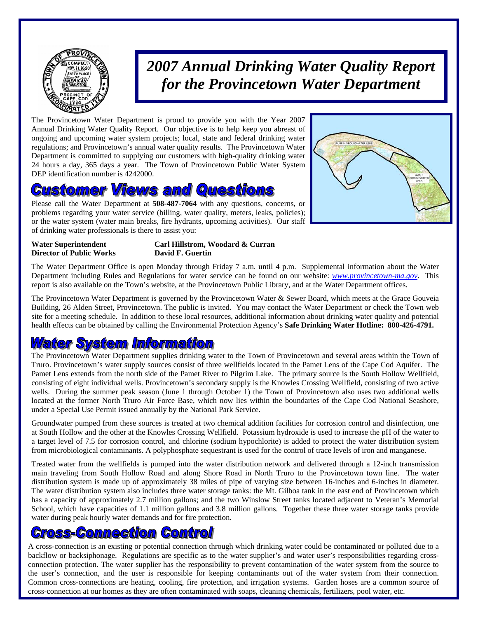

# *2007 Annual Drinking Water Quality Report for the Provincetown Water Department*

The Provincetown Water Department is proud to provide you with the Year 2007 Annual Drinking Water Quality Report. Our objective is to help keep you abreast of ongoing and upcoming water system projects; local, state and federal drinking water regulations; and Provincetown's annual water quality results. The Provincetown Water Department is committed to supplying our customers with high-quality drinking water 24 hours a day, 365 days a year. The Town of Provincetown Public Water System DEP identification number is 4242000.

### ustomer Views and Questions

Please call the Water Department at **508-487-7064** with any questions, concerns, or problems regarding your water service (billing, water quality, meters, leaks, policies); or the water system (water main breaks, fire hydrants, upcoming activities). Our staff of drinking water professionals is there to assist you:



# **Director of Public Works David F. Guertin**

## **Water Superintendent Carl Hillstrom, Woodard & Curran**

The Water Department Office is open Monday through Friday 7 a.m. until 4 p.m. Supplemental information about the Water Department including Rules and Regulations for water service can be found on our website: *www.provincetown-ma.gov*. This report is also available on the Town's website, at the Provincetown Public Library, and at the Water Department offices.

The Provincetown Water Department is governed by the Provincetown Water & Sewer Board, which meets at the Grace Gouveia Building, 26 Alden Street, Provincetown. The public is invited. You may contact the Water Department or check the Town web site for a meeting schedule. In addition to these local resources, additional information about drinking water quality and potential health effects can be obtained by calling the Environmental Protection Agency's **Safe Drinking Water Hotline: 800-426-4791.** 

### **Water System Information**

The Provincetown Water Department supplies drinking water to the Town of Provincetown and several areas within the Town of Truro. Provincetown's water supply sources consist of three wellfields located in the Pamet Lens of the Cape Cod Aquifer. The Pamet Lens extends from the north side of the Pamet River to Pilgrim Lake. The primary source is the South Hollow Wellfield, consisting of eight individual wells. Provincetown's secondary supply is the Knowles Crossing Wellfield, consisting of two active wells. During the summer peak season (June 1 through October 1) the Town of Provincetown also uses two additional wells located at the former North Truro Air Force Base, which now lies within the boundaries of the Cape Cod National Seashore, under a Special Use Permit issued annually by the National Park Service.

Groundwater pumped from these sources is treated at two chemical addition facilities for corrosion control and disinfection, one at South Hollow and the other at the Knowles Crossing Wellfield. Potassium hydroxide is used to increase the pH of the water to a target level of 7.5 for corrosion control, and chlorine (sodium hypochlorite) is added to protect the water distribution system from microbiological contaminants. A polyphosphate sequestrant is used for the control of trace levels of iron and manganese.

Treated water from the wellfields is pumped into the water distribution network and delivered through a 12-inch transmission main traveling from South Hollow Road and along Shore Road in North Truro to the Provincetown town line. The water distribution system is made up of approximately 38 miles of pipe of varying size between 16-inches and 6-inches in diameter. The water distribution system also includes three water storage tanks: the Mt. Gilboa tank in the east end of Provincetown which has a capacity of approximately 2.7 million gallons; and the two Winslow Street tanks located adjacent to Veteran's Memorial School, which have capacities of 1.1 million gallons and 3.8 million gallons. Together these three water storage tanks provide water during peak hourly water demands and for fire protection.

### ross-Connection Control

A cross-connection is an existing or potential connection through which drinking water could be contaminated or polluted due to a backflow or backsiphonage. Regulations are specific as to the water supplier's and water user's responsibilities regarding crossconnection protection. The water supplier has the responsibility to prevent contamination of the water system from the source to the user's connection, and the user is responsible for keeping contaminants out of the water system from their connection. Common cross-connections are heating, cooling, fire protection, and irrigation systems. Garden hoses are a common source of cross-connection at our homes as they are often contaminated with soaps, cleaning chemicals, fertilizers, pool water, etc.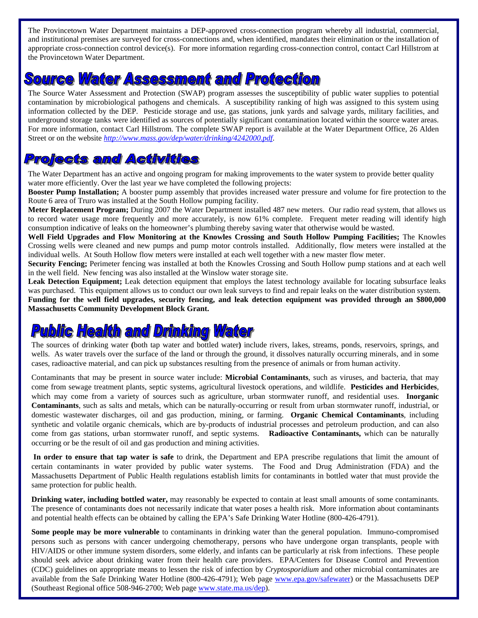The Provincetown Water Department maintains a DEP-approved cross-connection program whereby all industrial, commercial, and institutional premises are surveyed for cross-connections and, when identified, mandates their elimination or the installation of appropriate cross-connection control device(s). For more information regarding cross-connection control, contact Carl Hillstrom at the Provincetown Water Department.

## **Source Water Assessment and Protection**

The Source Water Assessment and Protection (SWAP) program assesses the susceptibility of public water supplies to potential contamination by microbiological pathogens and chemicals. A susceptibility ranking of high was assigned to this system using information collected by the DEP. Pesticide storage and use, gas stations, junk yards and salvage yards, military facilities, and underground storage tanks were identified as sources of potentially significant contamination located within the source water areas. For more information, contact Carl Hillstrom. The complete SWAP report is available at the Water Department Office, 26 Alden Street or on the website *http://www.mass.gov/dep/water/drinking/4242000.pdf*.

### **Projects and Activities**

The Water Department has an active and ongoing program for making improvements to the water system to provide better quality water more efficiently. Over the last year we have completed the following projects:

**Booster Pump Installation;** A booster pump assembly that provides increased water pressure and volume for fire protection to the Route 6 area of Truro was installed at the South Hollow pumping facility.

**Meter Replacement Program;** During 2007 the Water Department installed 487 new meters. Our radio read system, that allows us to record water usage more frequently and more accurately, is now 61% complete. Frequent meter reading will identify high consumption indicative of leaks on the homeowner's plumbing thereby saving water that otherwise would be wasted.

**Well Field Upgrades and Flow Monitoring at the Knowles Crossing and South Hollow Pumping Facilities;** The Knowles Crossing wells were cleaned and new pumps and pump motor controls installed. Additionally, flow meters were installed at the individual wells. At South Hollow flow meters were installed at each well together with a new master flow meter.

**Security Fencing;** Perimeter fencing was installed at both the Knowles Crossing and South Hollow pump stations and at each well in the well field. New fencing was also installed at the Winslow water storage site.

Leak Detection Equipment; Leak detection equipment that employs the latest technology available for locating subsurface leaks was purchased. This equipment allows us to conduct our own leak surveys to find and repair leaks on the water distribution system. **Funding for the well field upgrades, security fencing, and leak detection equipment was provided through an \$800,000 Massachusetts Community Development Block Grant.** 

# **Public Health and Drinking Water**

The sources of drinking water **(**both tap water and bottled water**)** include rivers, lakes, streams, ponds, reservoirs, springs, and wells. As water travels over the surface of the land or through the ground, it dissolves naturally occurring minerals, and in some cases, radioactive material, and can pick up substances resulting from the presence of animals or from human activity.

Contaminants that may be present in source water include: **Microbial Contaminants**, such as viruses, and bacteria, that may come from sewage treatment plants, septic systems, agricultural livestock operations, and wildlife. **Pesticides and Herbicides**, which may come from a variety of sources such as agriculture, urban stormwater runoff, and residential uses. **Inorganic Contaminants**, such as salts and metals, which can be naturally-occurring or result from urban stormwater runoff, industrial, or domestic wastewater discharges, oil and gas production, mining, or farming. **Organic Chemical Contaminants**, including synthetic and volatile organic chemicals, which are by-products of industrial processes and petroleum production, and can also come from gas stations, urban stormwater runoff, and septic systems. **Radioactive Contaminants,** which can be naturally occurring or be the result of oil and gas production and mining activities.

**In order to ensure that tap water is safe** to drink, the Department and EPA prescribe regulations that limit the amount of certain contaminants in water provided by public water systems. The Food and Drug Administration (FDA) and the Massachusetts Department of Public Health regulations establish limits for contaminants in bottled water that must provide the same protection for public health.

**Drinking water, including bottled water,** may reasonably be expected to contain at least small amounts of some contaminants. The presence of contaminants does not necessarily indicate that water poses a health risk. More information about contaminants and potential health effects can be obtained by calling the EPA's Safe Drinking Water Hotline (800-426-4791).

**Some people may be more vulnerable** to contaminants in drinking water than the general population. Immuno-compromised persons such as persons with cancer undergoing chemotherapy, persons who have undergone organ transplants, people with HIV/AIDS or other immune system disorders, some elderly, and infants can be particularly at risk from infections. These people should seek advice about drinking water from their health care providers. EPA/Centers for Disease Control and Prevention (CDC) guidelines on appropriate means to lessen the risk of infection by *Cryptosporidium* and other microbial contaminates are available from the Safe Drinking Water Hotline (800-426-4791); Web page www.epa.gov/safewater) or the Massachusetts DEP (Southeast Regional office 508-946-2700; Web page www.state.ma.us/dep).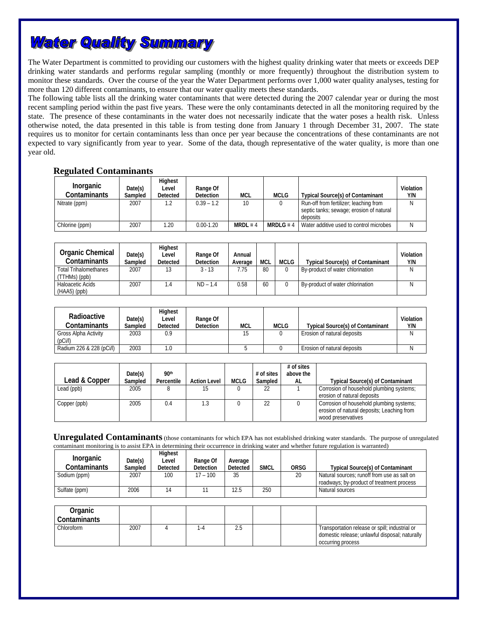## **Water Quality Summary**

The Water Department is committed to providing our customers with the highest quality drinking water that meets or exceeds DEP drinking water standards and performs regular sampling (monthly or more frequently) throughout the distribution system to monitor these standards. Over the course of the year the Water Department performs over 1,000 water quality analyses, testing for more than 120 different contaminants, to ensure that our water quality meets these standards.

The following table lists all the drinking water contaminants that were detected during the 2007 calendar year or during the most recent sampling period within the past five years. These were the only contaminants detected in all the monitoring required by the state. The presence of these contaminants in the water does not necessarily indicate that the water poses a health risk. Unless otherwise noted, the data presented in this table is from testing done from January 1 through December 31, 2007. The state requires us to monitor for certain contaminants less than once per year because the concentrations of these contaminants are not expected to vary significantly from year to year. Some of the data, though representative of the water quality, is more than one year old.

#### **Regulated Contaminants**

| Inorganic<br>Contaminants | Date(s)<br>Sampled | Highest<br>Level<br>Detected | Range Of<br><b>Detection</b> | <b>MCL</b> | <b>MCLG</b> | <b>Typical Source(s) of Contaminant</b>                                                        | Violation<br>Y/N |
|---------------------------|--------------------|------------------------------|------------------------------|------------|-------------|------------------------------------------------------------------------------------------------|------------------|
| Nitrate (ppm)             | 2007               |                              | $0.39 - 1.2$                 | 10         |             | Run-off from fertilizer; leaching from<br>septic tanks; sewage; erosion of natural<br>deposits |                  |
| Chlorine (ppm)            | 2007               | 1.20                         | $0.00 - 1.20$                | $MRDL = 4$ | $MRDLG = 4$ | Water additive used to control microbes                                                        |                  |

| Organic Chemical<br>Contaminants              | Date(s)<br>Sampled | Highest<br>Level<br><b>Detected</b> | Range Of<br><b>Detection</b> | Annual<br>Average | <b>MCL</b> | MCLG | <b>Typical Source(s) of Contaminant</b> | Violation<br>Y/N |
|-----------------------------------------------|--------------------|-------------------------------------|------------------------------|-------------------|------------|------|-----------------------------------------|------------------|
| <b>Total Trihalomethanes</b><br>(TTHMs) (ppb) | 2007               |                                     | $3 - 13$                     | 7.75              | 80         |      | By-product of water chlorination        |                  |
| Haloacetic Acids                              | 2007               | $\mathcal{A}$                       | $ND - 1.4$                   | 0.58              | 60         |      | By-product of water chlorination        |                  |
| $(HAA5)$ (ppb)                                |                    |                                     |                              |                   |            |      |                                         |                  |

| Radioactive<br>Contaminants<br>Gross Alpha Activity | Date(s)<br>Sampled<br>2003 | Highest<br>Level<br>Detected<br>0.9 | Range Of<br><b>Detection</b> | <b>MCL</b> | <b>MCLG</b> | <b>Typical Source(s) of Contaminant</b><br>Erosion of natural deposits | Violation<br>Y/N |
|-----------------------------------------------------|----------------------------|-------------------------------------|------------------------------|------------|-------------|------------------------------------------------------------------------|------------------|
| (DC)/I)                                             |                            |                                     |                              |            |             |                                                                        |                  |
| Radium 226 & 228 (pCi/l)                            | 2003                       | $\Omega$                            |                              |            |             | Erosion of natural deposits                                            |                  |

| Lead & Copper | Date(s)<br>Sampled | 90th<br>Percentile | <b>Action Level</b> | <b>MCLG</b> | $#$ of sites<br>Sampled | $#$ of sites<br>above the<br>AL | <b>Typical Source(s) of Contaminant</b>                                                                      |
|---------------|--------------------|--------------------|---------------------|-------------|-------------------------|---------------------------------|--------------------------------------------------------------------------------------------------------------|
| Lead (ppb)    | 2005               |                    | 15                  |             | 22                      |                                 | Corrosion of household plumbing systems;<br>erosion of natural deposits                                      |
| Copper (ppb)  | 2005               | 0.4                | 1.3                 |             | 22                      |                                 | Corrosion of household plumbing systems;<br>erosion of natural deposits; Leaching from<br>wood preservatives |

**Unregulated Contaminants** (those contaminants for which EPA has not established drinking water standards. The purpose of unregulated contaminant monitoring is to assist EPA in determining their occurrence in drinking water and whether future regulation is warranted)

| <b>Inorganic</b><br>Contaminants | Date(s)<br>Sampled | <b>Highest</b><br>Level<br>Detected | Range Of<br>Detection | Average<br>Detected | <b>SMCL</b> | ORSG | Typical Source(s) of Contaminant            |
|----------------------------------|--------------------|-------------------------------------|-----------------------|---------------------|-------------|------|---------------------------------------------|
| Sodium (ppm)                     | 2007               | 100                                 | $17 - 100$            | 35                  |             | 20   | Natural sources: runoff from use as salt on |
|                                  |                    |                                     |                       |                     |             |      | roadways: by-product of treatment process   |
| Sulfate (ppm)                    | 2006               |                                     |                       | 12.5                | 250         |      | Natural sources                             |

| Organic<br>Contaminants |      |    |      |  |                                                                                                                       |
|-------------------------|------|----|------|--|-----------------------------------------------------------------------------------------------------------------------|
| Chloroform              | 2007 | -4 | ں ،ے |  | Transportation release or spill; industrial or<br>domestic release; unlawful disposal; naturally<br>occurring process |